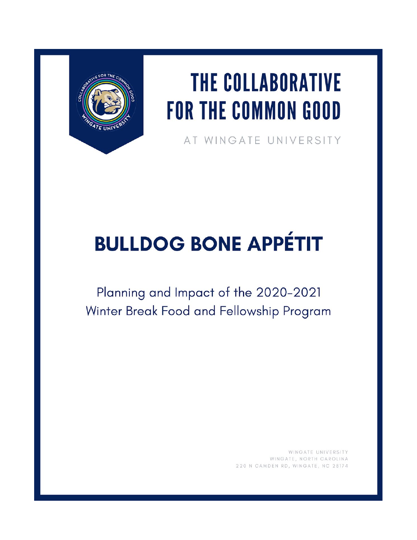

## **THE COLLABORATIVE FOR THE COMMON GOOD**

AT WINGATE UNIVERSITY

## **BULLDOG BONE APPÉTIT**

Planning and Impact of the 2020-2021 Winter Break Food and Fellowship Program

> WINGATE UNIVERSITY WINGATE, NORTH CAROLINA 220 N CAMDEN RD, WINGATE, NC 28174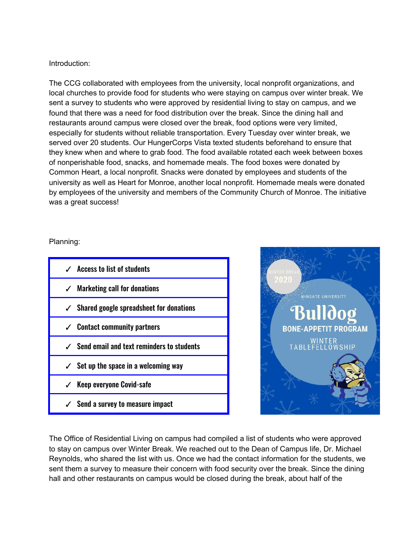## Introduction:

The CCG collaborated with employees from the university, local nonprofit organizations, and local churches to provide food for students who were staying on campus over winter break. We sent a survey to students who were approved by residential living to stay on campus, and we found that there was a need for food distribution over the break. Since the dining hall and restaurants around campus were closed over the break, food options were very limited, especially for students without reliable transportation. Every Tuesday over winter break, we served over 20 students. Our HungerCorps Vista texted students beforehand to ensure that they knew when and where to grab food. The food available rotated each week between boxes of nonperishable food, snacks, and homemade meals. The food boxes were donated by Common Heart, a local nonprofit. Snacks were donated by employees and students of the university as well as Heart for Monroe, another local nonprofit. Homemade meals were donated by employees of the university and members of the Community Church of Monroe. The initiative was a great success!

## Planning:

| $\checkmark$ Access to list of students                |
|--------------------------------------------------------|
| $\checkmark$ Marketing call for donations              |
| $\checkmark$ Shared google spreadsheet for donations   |
| $\checkmark$ Contact community partners                |
| $\checkmark$ Send email and text reminders to students |
| $\checkmark$ Set up the space in a welcoming way       |
| $\checkmark$ Keep everyone Covid-safe                  |
| $\checkmark$ Send a survey to measure impact           |



The Office of Residential Living on campus had compiled a list of students who were approved to stay on campus over Winter Break. We reached out to the Dean of Campus life, Dr. Michael Reynolds, who shared the list with us. Once we had the contact information for the students, we sent them a survey to measure their concern with food security over the break. Since the dining hall and other restaurants on campus would be closed during the break, about half of the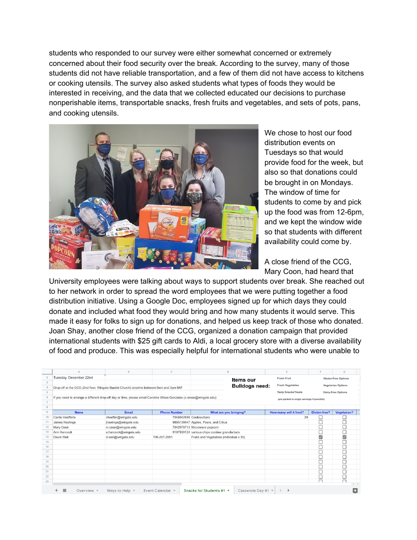students who responded to our survey were either somewhat concerned or extremely concerned about their food security over the break. According to the survey, many of those students did not have reliable transportation, and a few of them did not have access to kitchens or cooking utensils. The survey also asked students what types of foods they would be interested in receiving, and the data that we collected educated our decisions to purchase nonperishable items, transportable snacks, fresh fruits and vegetables, and sets of pots, pans, and cooking utensils.



We chose to host our food distribution events on Tuesdays so that would provide food for the week, but also so that donations could be brought in on Mondays. The window of time for students to come by and pick up the food was from 12-6pm, and we kept the window wide so that students with different availability could come by.

A close friend of the CCG, Mary Coon, had heard that

University employees were talking about ways to support students over break. She reached out to her network in order to spread the word employees that we were putting together a food distribution initiative. Using a Google Doc, employees signed up for which days they could donate and included what food they would bring and how many students it would serve. This made it easy for folks to sign up for donations, and helped us keep track of those who donated. Joan Shay, another close friend of the CCG, organized a donation campaign that provided international students with \$25 gift cards to Aldi, a local grocery store with a diverse availability of food and produce. This was especially helpful for international students who were unable to

|                                                                                                                                                                         |                                                                                         | B                     | $\mathbb{C}$        | D                                             | E                          |                           | G                          |  |
|-------------------------------------------------------------------------------------------------------------------------------------------------------------------------|-----------------------------------------------------------------------------------------|-----------------------|---------------------|-----------------------------------------------|----------------------------|---------------------------|----------------------------|--|
| $\overline{c}$                                                                                                                                                          | Tuesday, December 22nd                                                                  |                       |                     | Items our                                     | <b>Fresh Fruit</b>         |                           | <b>Gluten-Free Options</b> |  |
| $\mathbf{3}$                                                                                                                                                            |                                                                                         |                       |                     |                                               | <b>Fresh Vegetables</b>    |                           |                            |  |
|                                                                                                                                                                         | Drop-off at the CCG (2nd floor, Wingate Baptist Church) anytime between 9am and 3pm M-F |                       |                     | <b>Bulldogs need:</b>                         |                            | <b>Vegetarian Options</b> |                            |  |
|                                                                                                                                                                         |                                                                                         |                       |                     |                                               | <b>Tasty Snacks/Treats</b> |                           | Dairy-Free Options         |  |
| If you need to arrange a different drop-off day or time, please email Caroline Wisse Gonzales (c.wisse@wingate.edu)<br>6<br>(pre packed in single servings if possible) |                                                                                         |                       |                     |                                               |                            |                           |                            |  |
|                                                                                                                                                                         |                                                                                         |                       |                     |                                               |                            |                           |                            |  |
| 8                                                                                                                                                                       |                                                                                         |                       |                     |                                               |                            |                           |                            |  |
|                                                                                                                                                                         | <b>Name</b>                                                                             | Email                 | <b>Phone Number</b> | What are you bringing?                        | How many will it feed?     | Gluten-free?              | Vegetarian?                |  |
| 10                                                                                                                                                                      | Carrie Hoefferle                                                                        | choeffer@wingate.edu  |                     | 7048042658 Cookies/bars                       | 20                         |                           |                            |  |
|                                                                                                                                                                         | James Hastings                                                                          | jhastings@wingate.edu |                     | 9803139647 Apples, Pears, and Citrus          |                            |                           |                            |  |
|                                                                                                                                                                         | Mary Coon                                                                               | m.coon@wingate.edu    |                     | 7042079713 Microwave popcorn                  |                            |                           |                            |  |
| 13                                                                                                                                                                      | Ann Hancock                                                                             | a.hancock@wingate.edu |                     | 9107939124 various chips cookies granola bars |                            |                           |                            |  |
| 14                                                                                                                                                                      | David Weil                                                                              | d.weil@wingate.edu    | 706-207-2951        | Fruits and Vegetables (Individual x 30)       |                            | ☑                         | $\overline{\mathbf{v}}$    |  |
| 15                                                                                                                                                                      |                                                                                         |                       |                     |                                               |                            |                           |                            |  |
| 16                                                                                                                                                                      |                                                                                         |                       |                     |                                               |                            |                           |                            |  |
|                                                                                                                                                                         |                                                                                         |                       |                     |                                               |                            |                           |                            |  |
|                                                                                                                                                                         |                                                                                         |                       |                     |                                               |                            |                           |                            |  |
|                                                                                                                                                                         |                                                                                         |                       |                     |                                               |                            |                           |                            |  |
|                                                                                                                                                                         |                                                                                         |                       |                     |                                               |                            |                           |                            |  |
|                                                                                                                                                                         |                                                                                         |                       |                     |                                               |                            |                           |                            |  |
|                                                                                                                                                                         |                                                                                         |                       |                     |                                               |                            |                           |                            |  |
|                                                                                                                                                                         |                                                                                         |                       |                     |                                               |                            |                           | $\Box$<br>$\leftarrow$     |  |
|                                                                                                                                                                         |                                                                                         |                       |                     |                                               |                            |                           |                            |  |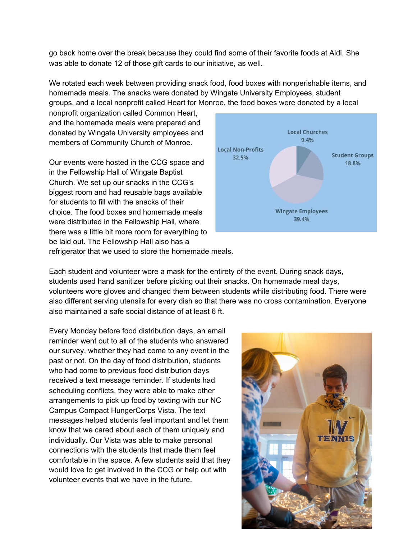go back home over the break because they could find some of their favorite foods at Aldi. She was able to donate 12 of those gift cards to our initiative, as well.

We rotated each week between providing snack food, food boxes with nonperishable items, and homemade meals. The snacks were donated by Wingate University Employees, student groups, and a local nonprofit called Heart for Monroe, the food boxes were donated by a local

nonprofit organization called Common Heart, and the homemade meals were prepared and donated by Wingate University employees and members of Community Church of Monroe.

Our events were hosted in the CCG space and in the Fellowship Hall of Wingate Baptist Church. We set up our snacks in the CCG's biggest room and had reusable bags available for students to fill with the snacks of their choice. The food boxes and homemade meals were distributed in the Fellowship Hall, where there was a little bit more room for everything to be laid out. The Fellowship Hall also has a refrigerator that we used to store the homemade meals.



Each student and volunteer wore a mask for the entirety of the event. During snack days, students used hand sanitizer before picking out their snacks. On homemade meal days, volunteers wore gloves and changed them between students while distributing food. There were also different serving utensils for every dish so that there was no cross contamination. Everyone also maintained a safe social distance of at least 6 ft.

Every Monday before food distribution days, an email reminder went out to all of the students who answered our survey, whether they had come to any event in the past or not. On the day of food distribution, students who had come to previous food distribution days received a text message reminder. If students had scheduling conflicts, they were able to make other arrangements to pick up food by texting with our NC Campus Compact HungerCorps Vista. The text messages helped students feel important and let them know that we cared about each of them uniquely and individually. Our Vista was able to make personal connections with the students that made them feel comfortable in the space. A few students said that they would love to get involved in the CCG or help out with volunteer events that we have in the future.

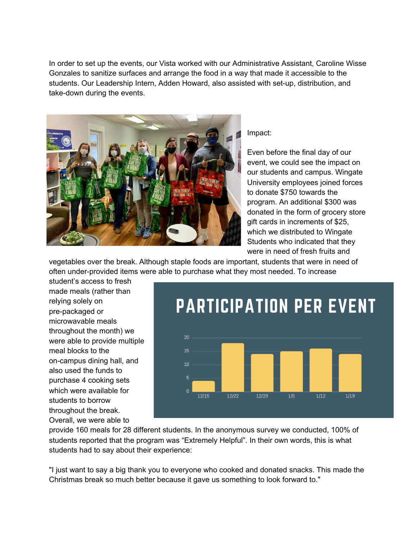In order to set up the events, our Vista worked with our Administrative Assistant, Caroline Wisse Gonzales to sanitize surfaces and arrange the food in a way that made it accessible to the students. Our Leadership Intern, Adden Howard, also assisted with set-up, distribution, and take-down during the events.



Impact:

Even before the final day of our event, we could see the impact on our students and campus. Wingate University employees joined forces to donate \$750 towards the program. An additional \$300 was donated in the form of grocery store gift cards in increments of \$25, which we distributed to Wingate Students who indicated that they were in need of fresh fruits and

vegetables over the break. Although staple foods are important, students that were in need of often under-provided items were able to purchase what they most needed. To increase

student's access to fresh made meals (rather than relying solely on pre-packaged or microwavable meals throughout the month) we were able to provide multiple meal blocks to the on-campus dining hall, and also used the funds to purchase 4 cooking sets which were available for students to borrow throughout the break. Overall, we were able to



provide 160 meals for 28 different students. In the anonymous survey we conducted, 100% of students reported that the program was "Extremely Helpful". In their own words, this is what students had to say about their experience:

"I just want to say a big thank you to everyone who cooked and donated snacks. This made the Christmas break so much better because it gave us something to look forward to."